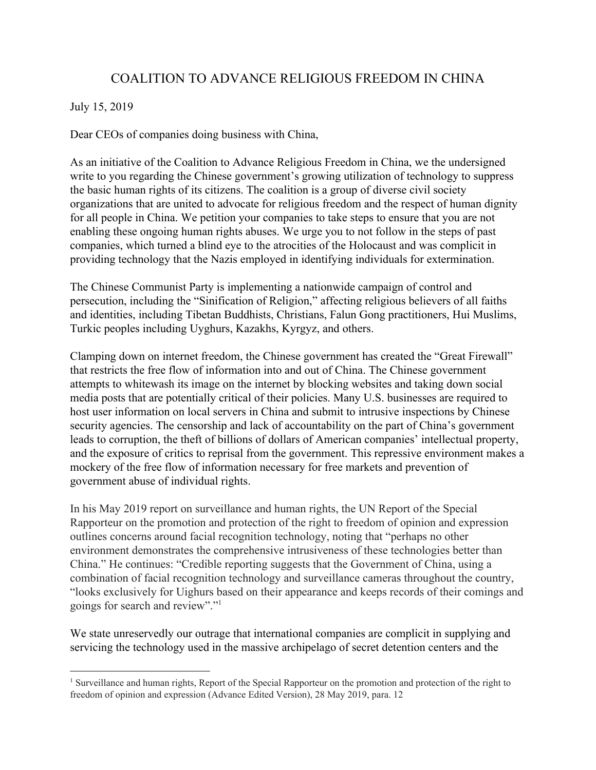## COALITION TO ADVANCE RELIGIOUS FREEDOM IN CHINA

## July 15, 2019

Dear CEOs of companies doing business with China,

As an initiative of the Coalition to Advance Religious Freedom in China, we the undersigned write to you regarding the Chinese government's growing utilization of technology to suppress the basic human rights of its citizens. The coalition is a group of diverse civil society organizations that are united to advocate for religious freedom and the respect of human dignity for all people in China. We petition your companies to take steps to ensure that you are not enabling these ongoing human rights abuses. We urge you to not follow in the steps of past companies, which turned a blind eye to the atrocities of the Holocaust and was complicit in providing technology that the Nazis employed in identifying individuals for extermination.

The Chinese Communist Party is implementing a nationwide campaign of control and persecution, including the "Sinification of Religion," affecting religious believers of all faiths and identities, including Tibetan Buddhists, Christians, Falun Gong practitioners, Hui Muslims, Turkic peoples including Uyghurs, Kazakhs, Kyrgyz, and others.

Clamping down on internet freedom, the Chinese government has created the "Great Firewall" that restricts the free flow of information into and out of China. The Chinese government attempts to whitewash its image on the internet by blocking websites and taking down social media posts that are potentially critical of their policies. Many U.S. businesses are required to host user information on local servers in China and submit to intrusive inspections by Chinese security agencies. The censorship and lack of accountability on the part of China's government leads to corruption, the theft of billions of dollars of American companies' intellectual property, and the exposure of critics to reprisal from the government. This repressive environment makes a mockery of the free flow of information necessary for free markets and prevention of government abuse of individual rights.

In his May 2019 report on surveillance and human rights, the UN Report of the Special Rapporteur on the promotion and protection of the right to freedom of opinion and expression outlines concerns around facial recognition technology, noting that "perhaps no other environment demonstrates the comprehensive intrusiveness of these technologies better than China." He continues: "Credible reporting suggests that the Government of China, using a combination of facial recognition technology and surveillance cameras throughout the country, "looks exclusively for Uighurs based on their appearance and keeps records of their comings and goings for search and review"."<sup>1</sup>

We state unreservedly our outrage that international companies are complicit in supplying and servicing the technology used in the massive archipelago of secret detention centers and the

<sup>&</sup>lt;sup>1</sup> Surveillance and human rights, Report of the Special Rapporteur on the promotion and protection of the right to freedom of opinion and expression (Advance Edited Version), 28 May 2019, para. 12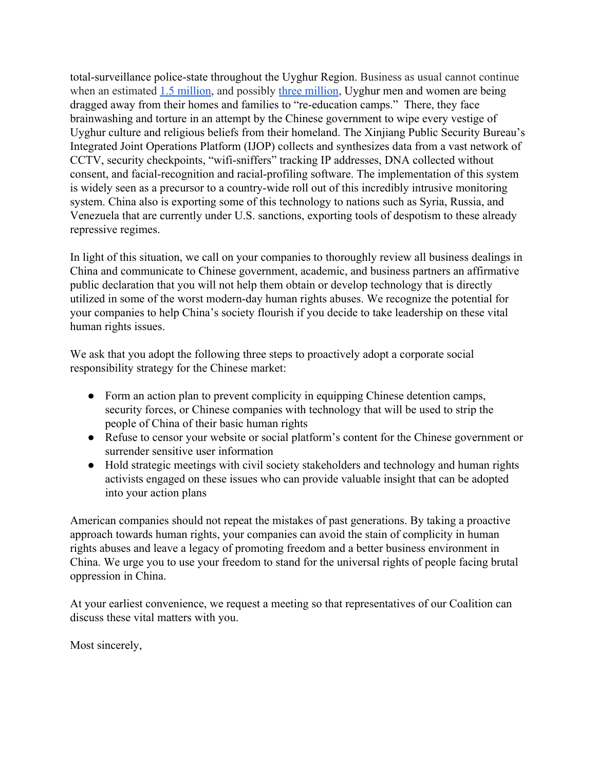total-surveillance police-state throughout the Uyghur Region. [Business as usual cannot continue](https://www.reuters.com/article/us-china-xinjiang-rights/15-million-muslims-could-be-detained-in-chinas-xinjiang-academic-idUSKCN1QU2MQ) [when an estimated 1.5 million,](https://www.reuters.com/article/us-china-xinjiang-rights/15-million-muslims-could-be-detained-in-chinas-xinjiang-academic-idUSKCN1QU2MQ) and possibly [three million,](https://www.reuters.com/article/us-usa-china-concentrationcamps/china-putting-minority-muslims-in-concentration-camps-us-says-idUSKCN1S925K) Uyghur men and women are being dragged away from their homes and families to "re-education camps." There, they face brainwashing and torture in an attempt by the Chinese government to wipe every vestige of Uyghur culture and religious beliefs from their homeland. The Xinjiang Public Security Bureau's Integrated Joint Operations Platform (IJOP) collects and synthesizes data from a vast network of CCTV, security checkpoints, "wifi-sniffers" tracking IP addresses, DNA collected without consent, and facial-recognition and racial-profiling software. The implementation of this system is widely seen as a precursor to a country-wide roll out of this incredibly intrusive monitoring system. China also is exporting some of this technology to nations such as Syria, Russia, and Venezuela that are currently under U.S. sanctions, exporting tools of despotism to these already repressive regimes.

In light of this situation, we call on your companies to thoroughly review all business dealings in China and communicate to Chinese government, academic, and business partners an affirmative public declaration that you will not help them obtain or develop technology that is directly utilized in some of the worst modern-day human rights abuses. We recognize the potential for your companies to help China's society flourish if you decide to take leadership on these vital human rights issues.

We ask that you adopt the following three steps to proactively adopt a corporate social responsibility strategy for the Chinese market:

- Form an action plan to prevent complicity in equipping Chinese detention camps, security forces, or Chinese companies with technology that will be used to strip the people of China of their basic human rights
- Refuse to censor your website or social platform's content for the Chinese government or surrender sensitive user information
- Hold strategic meetings with civil society stakeholders and technology and human rights activists engaged on these issues who can provide valuable insight that can be adopted into your action plans

American companies should not repeat the mistakes of past generations. By taking a proactive approach towards human rights, your companies can avoid the stain of complicity in human rights abuses and leave a legacy of promoting freedom and a better business environment in China. We urge you to use your freedom to stand for the universal rights of people facing brutal oppression in China.

At your earliest convenience, we request a meeting so that representatives of our Coalition can discuss these vital matters with you.

Most sincerely,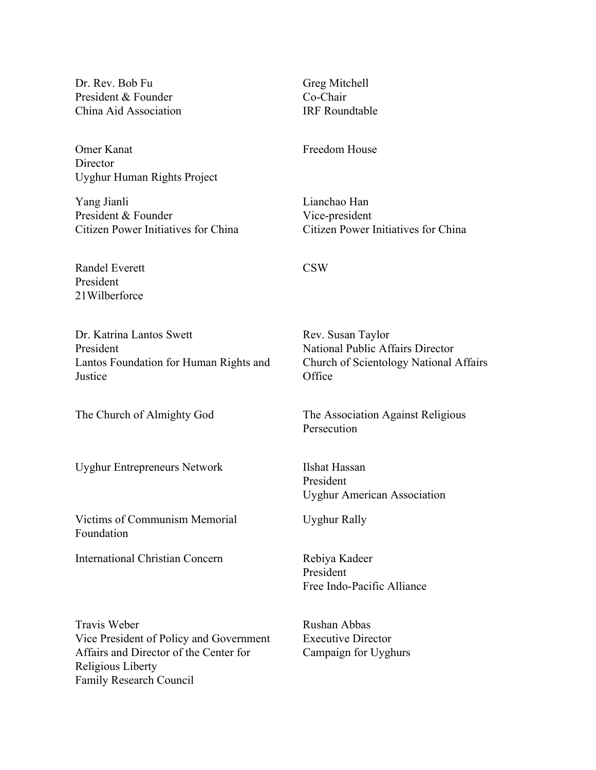Dr. Rev. Bob Fu President & Founder China Aid Association

Omer Kanat **Director** Uyghur Human Rights Project

Yang Jianli President & Founder Citizen Power Initiatives for China

Randel Everett President 21Wilberforce

Dr. Katrina Lantos Swett President Lantos Foundation for Human Rights and **Justice** 

Uyghur Entrepreneurs Network Ilshat Hassan

Victims of Communism Memorial Foundation

International Christian Concern Rebiya Kadeer

Travis Weber Vice President of Policy and Government Affairs and Director of the Center for Religious Liberty Family Research Council

Greg Mitchell Co-Chair IRF Roundtable

Freedom House

Lianchao Han Vice-president Citizen Power Initiatives for China

## CSW

Rev. Susan Taylor National Public Affairs Director Church of Scientology National Affairs **Office** 

The Church of Almighty God The Association Against Religious Persecution

> President Uyghur American Association

Uyghur Rally

President Free Indo-Pacific Alliance

Rushan Abbas Executive Director Campaign for Uyghurs